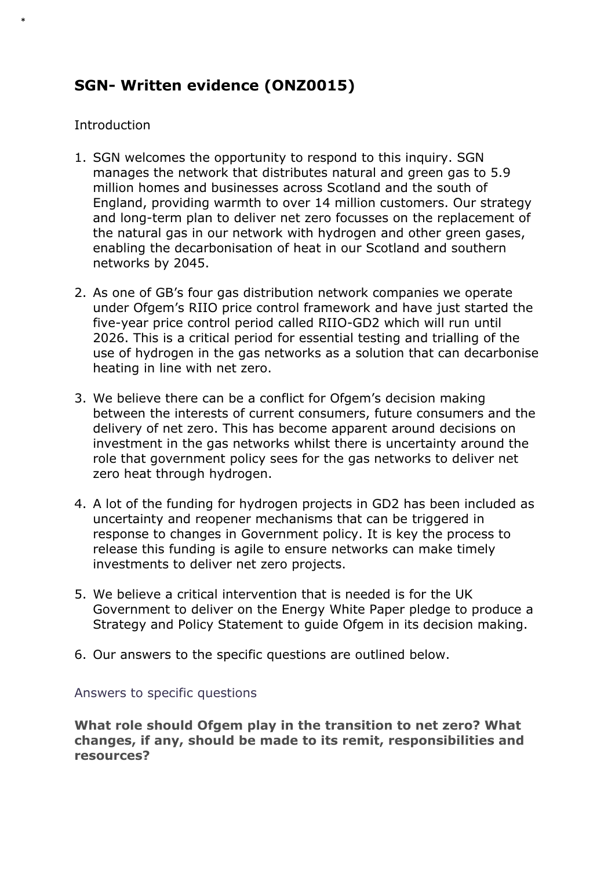# **SGN- Written evidence (ONZ0015)**

## **Introduction**

\*

- 1. SGN welcomes the opportunity to respond to this inquiry. SGN manages the network that distributes natural and green gas to 5.9 million homes and businesses across Scotland and the south of England, providing warmth to over 14 million customers. Our strategy and long-term plan to deliver net zero focusses on the replacement of the natural gas in our network with hydrogen and other green gases, enabling the decarbonisation of heat in our Scotland and southern networks by 2045.
- 2. As one of GB's four gas distribution network companies we operate under Ofgem's RIIO price control framework and have just started the five-year price control period called RIIO-GD2 which will run until 2026. This is a critical period for essential testing and trialling of the use of hydrogen in the gas networks as a solution that can decarbonise heating in line with net zero.
- 3. We believe there can be a conflict for Ofgem's decision making between the interests of current consumers, future consumers and the delivery of net zero. This has become apparent around decisions on investment in the gas networks whilst there is uncertainty around the role that government policy sees for the gas networks to deliver net zero heat through hydrogen.
- 4. A lot of the funding for hydrogen projects in GD2 has been included as uncertainty and reopener mechanisms that can be triggered in response to changes in Government policy. It is key the process to release this funding is agile to ensure networks can make timely investments to deliver net zero projects.
- 5. We believe a critical intervention that is needed is for the UK Government to deliver on the Energy White Paper pledge to produce a Strategy and Policy Statement to guide Ofgem in its decision making.
- 6. Our answers to the specific questions are outlined below.

#### Answers to specific questions

**What role should Ofgem play in the transition to net zero? What changes, if any, should be made to its remit, responsibilities and resources?**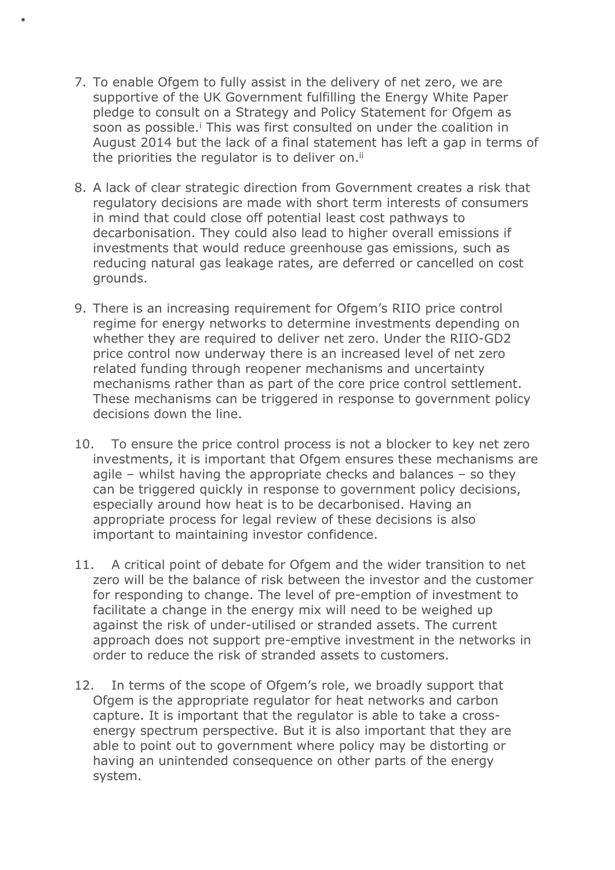7. To enable Ofgem to fully assist in the delivery of net zero, we are supportive of the UK Government fulfilling the Energy White Paper pledge to consult on a Strategy and Policy Statement for Ofgem as soon as possible.<sup>i</sup> This was first consulted on under the coalition in August 2014 but the lack of a final statement has left a gap in terms of the priorities the regulator is to deliver on.<sup>ii</sup>

\*

- 8. A lack of clear strategic direction from Government creates a risk that regulatory decisions are made with short term interests of consumers in mind that could close off potential least cost pathways to decarbonisation. They could also lead to higher overall emissions if investments that would reduce greenhouse gas emissions, such as reducing natural gas leakage rates, are deferred or cancelled on cost grounds.
- 9. There is an increasing requirement for Ofgem's RIIO price control regime for energy networks to determine investments depending on whether they are required to deliver net zero. Under the RIIO-GD2 price control now underway there is an increased level of net zero related funding through reopener mechanisms and uncertainty mechanisms rather than as part of the core price control settlement. These mechanisms can be triggered in response to government policy decisions down the line.
- 10. To ensure the price control process is not a blocker to key net zero investments, it is important that Ofgem ensures these mechanisms are agile – whilst having the appropriate checks and balances – so they can be triggered quickly in response to government policy decisions, especially around how heat is to be decarbonised. Having an appropriate process for legal review of these decisions is also important to maintaining investor confidence.
- 11. A critical point of debate for Ofgem and the wider transition to net zero will be the balance of risk between the investor and the customer for responding to change. The level of pre-emption of investment to facilitate a change in the energy mix will need to be weighed up against the risk of under-utilised or stranded assets. The current approach does not support pre-emptive investment in the networks in order to reduce the risk of stranded assets to customers.
- 12. In terms of the scope of Ofgem's role, we broadly support that Ofgem is the appropriate regulator for heat networks and carbon capture. It is important that the regulator is able to take a crossenergy spectrum perspective. But it is also important that they are able to point out to government where policy may be distorting or having an unintended consequence on other parts of the energy system.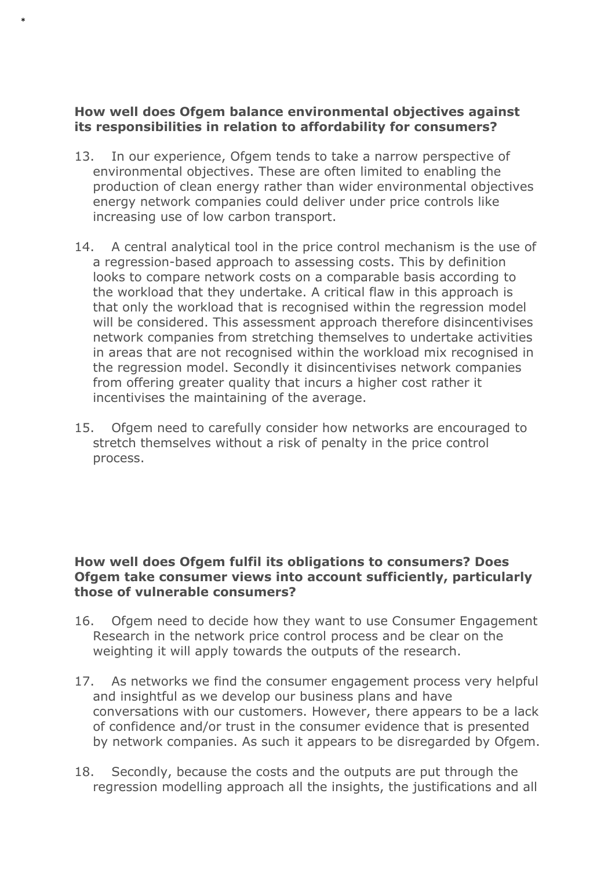## **How well does Ofgem balance environmental objectives against its responsibilities in relation to affordability for consumers?**

\*

- 13. In our experience, Ofgem tends to take a narrow perspective of environmental objectives. These are often limited to enabling the production of clean energy rather than wider environmental objectives energy network companies could deliver under price controls like increasing use of low carbon transport.
- 14. A central analytical tool in the price control mechanism is the use of a regression-based approach to assessing costs. This by definition looks to compare network costs on a comparable basis according to the workload that they undertake. A critical flaw in this approach is that only the workload that is recognised within the regression model will be considered. This assessment approach therefore disincentivises network companies from stretching themselves to undertake activities in areas that are not recognised within the workload mix recognised in the regression model. Secondly it disincentivises network companies from offering greater quality that incurs a higher cost rather it incentivises the maintaining of the average.
- 15. Ofgem need to carefully consider how networks are encouraged to stretch themselves without a risk of penalty in the price control process.

#### **How well does Ofgem fulfil its obligations to consumers? Does Ofgem take consumer views into account sufficiently, particularly those of vulnerable consumers?**

- 16. Ofgem need to decide how they want to use Consumer Engagement Research in the network price control process and be clear on the weighting it will apply towards the outputs of the research.
- 17. As networks we find the consumer engagement process very helpful and insightful as we develop our business plans and have conversations with our customers. However, there appears to be a lack of confidence and/or trust in the consumer evidence that is presented by network companies. As such it appears to be disregarded by Ofgem.
- 18. Secondly, because the costs and the outputs are put through the regression modelling approach all the insights, the justifications and all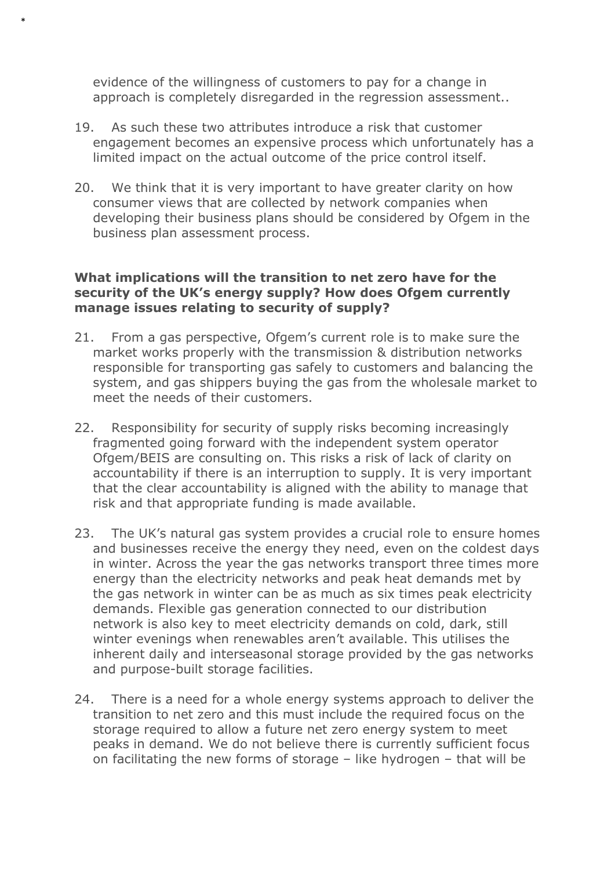evidence of the willingness of customers to pay for a change in approach is completely disregarded in the regression assessment..

\*

- 19. As such these two attributes introduce a risk that customer engagement becomes an expensive process which unfortunately has a limited impact on the actual outcome of the price control itself.
- 20. We think that it is very important to have greater clarity on how consumer views that are collected by network companies when developing their business plans should be considered by Ofgem in the business plan assessment process.

## **What implications will the transition to net zero have for the security of the UK's energy supply? How does Ofgem currently manage issues relating to security of supply?**

- 21. From a gas perspective, Ofgem's current role is to make sure the market works properly with the transmission & distribution networks responsible for transporting gas safely to customers and balancing the system, and gas shippers buying the gas from the wholesale market to meet the needs of their customers.
- 22. Responsibility for security of supply risks becoming increasingly fragmented going forward with the independent system operator Ofgem/BEIS are consulting on. This risks a risk of lack of clarity on accountability if there is an interruption to supply. It is very important that the clear accountability is aligned with the ability to manage that risk and that appropriate funding is made available.
- 23. The UK's natural gas system provides a crucial role to ensure homes and businesses receive the energy they need, even on the coldest days in winter. Across the year the gas networks transport three times more energy than the electricity networks and peak heat demands met by the gas network in winter can be as much as six times peak electricity demands. Flexible gas generation connected to our distribution network is also key to meet electricity demands on cold, dark, still winter evenings when renewables aren't available. This utilises the inherent daily and interseasonal storage provided by the gas networks and purpose-built storage facilities.
- 24. There is a need for a whole energy systems approach to deliver the transition to net zero and this must include the required focus on the storage required to allow a future net zero energy system to meet peaks in demand. We do not believe there is currently sufficient focus on facilitating the new forms of storage – like hydrogen – that will be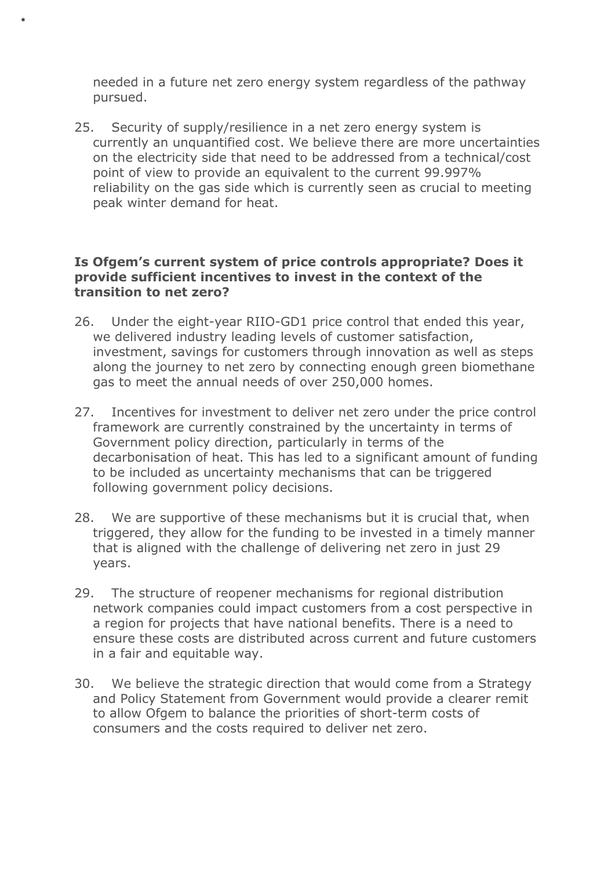needed in a future net zero energy system regardless of the pathway pursued.

\*

25. Security of supply/resilience in a net zero energy system is currently an unquantified cost. We believe there are more uncertainties on the electricity side that need to be addressed from a technical/cost point of view to provide an equivalent to the current 99.997% reliability on the gas side which is currently seen as crucial to meeting peak winter demand for heat.

#### **Is Ofgem's current system of price controls appropriate? Does it provide sufficient incentives to invest in the context of the transition to net zero?**

- 26. Under the eight-year RIIO-GD1 price control that ended this year, we delivered industry leading levels of customer satisfaction, investment, savings for customers through innovation as well as steps along the journey to net zero by connecting enough green biomethane gas to meet the annual needs of over 250,000 homes.
- 27. Incentives for investment to deliver net zero under the price control framework are currently constrained by the uncertainty in terms of Government policy direction, particularly in terms of the decarbonisation of heat. This has led to a significant amount of funding to be included as uncertainty mechanisms that can be triggered following government policy decisions.
- 28. We are supportive of these mechanisms but it is crucial that, when triggered, they allow for the funding to be invested in a timely manner that is aligned with the challenge of delivering net zero in just 29 years.
- 29. The structure of reopener mechanisms for regional distribution network companies could impact customers from a cost perspective in a region for projects that have national benefits. There is a need to ensure these costs are distributed across current and future customers in a fair and equitable way.
- 30. We believe the strategic direction that would come from a Strategy and Policy Statement from Government would provide a clearer remit to allow Ofgem to balance the priorities of short-term costs of consumers and the costs required to deliver net zero.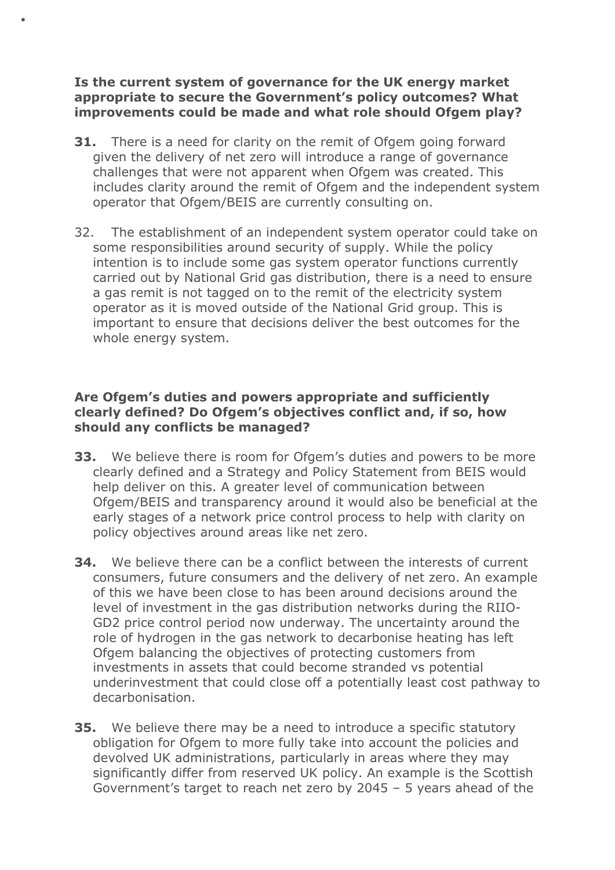## **Is the current system of governance for the UK energy market appropriate to secure the Government's policy outcomes? What improvements could be made and what role should Ofgem play?**

\*

- **31.** There is a need for clarity on the remit of Ofgem going forward given the delivery of net zero will introduce a range of governance challenges that were not apparent when Ofgem was created. This includes clarity around the remit of Ofgem and the independent system operator that Ofgem/BEIS are currently consulting on.
- 32. The establishment of an independent system operator could take on some responsibilities around security of supply. While the policy intention is to include some gas system operator functions currently carried out by National Grid gas distribution, there is a need to ensure a gas remit is not tagged on to the remit of the electricity system operator as it is moved outside of the National Grid group. This is important to ensure that decisions deliver the best outcomes for the whole energy system.

## **Are Ofgem's duties and powers appropriate and sufficiently clearly defined? Do Ofgem's objectives conflict and, if so, how should any conflicts be managed?**

- **33.** We believe there is room for Ofgem's duties and powers to be more clearly defined and a Strategy and Policy Statement from BEIS would help deliver on this. A greater level of communication between Ofgem/BEIS and transparency around it would also be beneficial at the early stages of a network price control process to help with clarity on policy objectives around areas like net zero.
- **34.** We believe there can be a conflict between the interests of current consumers, future consumers and the delivery of net zero. An example of this we have been close to has been around decisions around the level of investment in the gas distribution networks during the RIIO-GD2 price control period now underway. The uncertainty around the role of hydrogen in the gas network to decarbonise heating has left Ofgem balancing the objectives of protecting customers from investments in assets that could become stranded vs potential underinvestment that could close off a potentially least cost pathway to decarbonisation.
- **35.** We believe there may be a need to introduce a specific statutory obligation for Ofgem to more fully take into account the policies and devolved UK administrations, particularly in areas where they may significantly differ from reserved UK policy. An example is the Scottish Government's target to reach net zero by 2045 – 5 years ahead of the